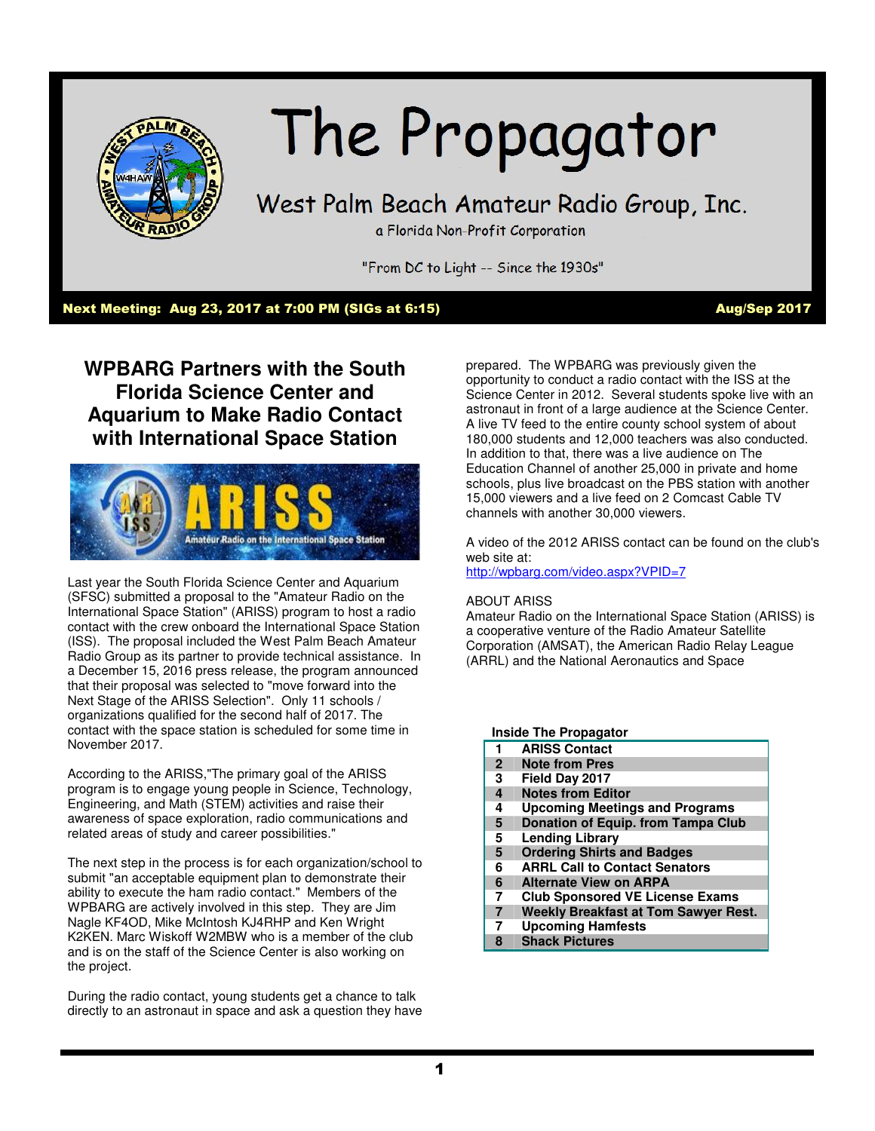

# The Propagator

## West Palm Beach Amateur Radio Group, Inc.

a Florida Non-Profit Corporation

"From DC to Light -- Since the 1930s"

#### Next Meeting: Aug 23, 2017 at 7:00 PM (SIGs at 6:15) Aug/Sep 2017

**WPBARG Partners with the South Florida Science Center and Aquarium to Make Radio Contact with International Space Station** 



Last year the South Florida Science Center and Aquarium (SFSC) submitted a proposal to the "Amateur Radio on the International Space Station" (ARISS) program to host a radio contact with the crew onboard the International Space Station (ISS). The proposal included the West Palm Beach Amateur Radio Group as its partner to provide technical assistance. In a December 15, 2016 press release, the program announced that their proposal was selected to "move forward into the Next Stage of the ARISS Selection". Only 11 schools / organizations qualified for the second half of 2017. The contact with the space station is scheduled for some time in November 2017.

According to the ARISS,"The primary goal of the ARISS program is to engage young people in Science, Technology, Engineering, and Math (STEM) activities and raise their awareness of space exploration, radio communications and related areas of study and career possibilities."

The next step in the process is for each organization/school to submit "an acceptable equipment plan to demonstrate their ability to execute the ham radio contact." Members of the WPBARG are actively involved in this step. They are Jim Nagle KF4OD, Mike McIntosh KJ4RHP and Ken Wright K2KEN. Marc Wiskoff W2MBW who is a member of the club and is on the staff of the Science Center is also working on the project.

During the radio contact, young students get a chance to talk directly to an astronaut in space and ask a question they have prepared. The WPBARG was previously given the opportunity to conduct a radio contact with the ISS at the Science Center in 2012. Several students spoke live with an astronaut in front of a large audience at the Science Center. A live TV feed to the entire county school system of about 180,000 students and 12,000 teachers was also conducted. In addition to that, there was a live audience on The Education Channel of another 25,000 in private and home schools, plus live broadcast on the PBS station with another 15,000 viewers and a live feed on 2 Comcast Cable TV channels with another 30,000 viewers.

A video of the 2012 ARISS contact can be found on the club's web site at:

http://wpbarg.com/video.aspx?VPID=7

#### ABOUT ARISS

Amateur Radio on the International Space Station (ARISS) is a cooperative venture of the Radio Amateur Satellite Corporation (AMSAT), the American Radio Relay League (ARRL) and the National Aeronautics and Space

#### **Inside The Propagator**

- **1 ARISS Contact**
- **2 Note from Pres**
- **3 Field Day 2017**
- **4 Notes from Editor**
- **4 Upcoming Meetings and Programs**
- **5 Donation of Equip. from Tampa Club**
- **5 Lending Library**
- **5 Ordering Shirts and Badges**
- **6 ARRL Call to Contact Senators**
- **6 Alternate View on ARPA**
- **7 Club Sponsored VE License Exams**
- **7 Weekly Breakfast at Tom Sawyer Rest.**
- **7 Upcoming Hamfests**
- **8 Shack Pictures**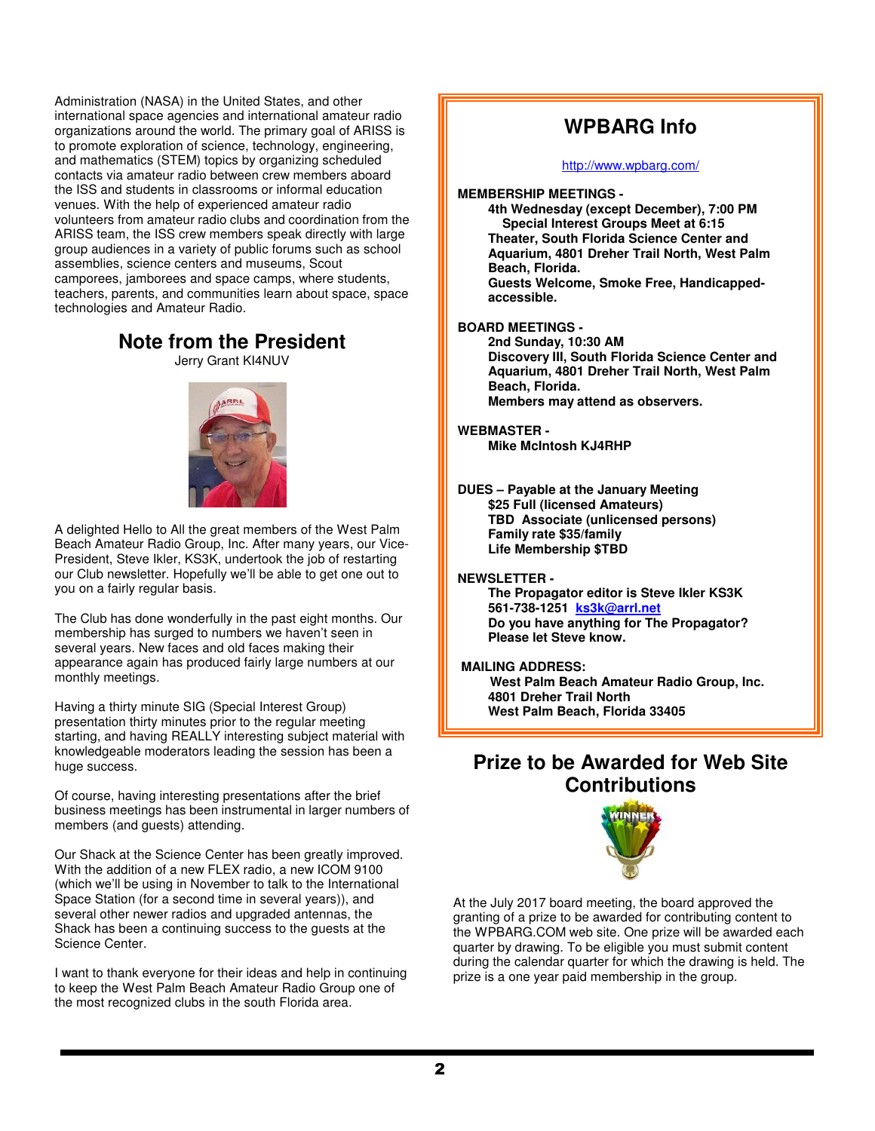Administration (NASA) in the United States, and other international space agencies and international amateur radio organizations around the world. The primary goal of ARISS is to promote exploration of science, technology, engineering, and mathematics (STEM) topics by organizing scheduled contacts via amateur radio between crew members aboard the ISS and students in classrooms or informal education venues. With the help of experienced amateur radio volunteers from amateur radio clubs and coordination from the ARISS team, the ISS crew members speak directly with large group audiences in a variety of public forums such as school assemblies, science centers and museums, Scout camporees, jamborees and space camps, where students, teachers, parents, and communities learn about space, space technologies and Amateur Radio.

### **Note from the President**

Jerry Grant KI4NUV



A delighted Hello to All the great members of the West Palm Beach Amateur Radio Group, Inc. After many years, our Vice-President, Steve Ikler, KS3K, undertook the job of restarting our Club newsletter. Hopefully we'll be able to get one out to you on a fairly regular basis.

The Club has done wonderfully in the past eight months. Our membership has surged to numbers we haven't seen in several years. New faces and old faces making their appearance again has produced fairly large numbers at our monthly meetings.

Having a thirty minute SIG (Special Interest Group) presentation thirty minutes prior to the regular meeting starting, and having REALLY interesting subject material with knowledgeable moderators leading the session has been a huge success.

Of course, having interesting presentations after the brief business meetings has been instrumental in larger numbers of members (and guests) attending.

Our Shack at the Science Center has been greatly improved. With the addition of a new FLEX radio, a new ICOM 9100 (which we'll be using in November to talk to the International Space Station (for a second time in several years)), and several other newer radios and upgraded antennas, the Shack has been a continuing success to the guests at the Science Center.

I want to thank everyone for their ideas and help in continuing to keep the West Palm Beach Amateur Radio Group one of the most recognized clubs in the south Florida area.

## **WPBARG Info**

#### http://www.wpbarg.com/

**MEMBERSHIP MEETINGS -** 

**4th Wednesday (except December), 7:00 PM Special Interest Groups Meet at 6:15 Theater, South Florida Science Center and Aquarium, 4801 Dreher Trail North, West Palm Beach, Florida.** 

**Guests Welcome, Smoke Free, Handicappedaccessible.** 

#### **BOARD MEETINGS -**

**2nd Sunday, 10:30 AM Discovery III, South Florida Science Center and Aquarium, 4801 Dreher Trail North, West Palm Beach, Florida. Members may attend as observers.** 

#### **WEBMASTER - Mike McIntosh KJ4RHP**

**DUES – Payable at the January Meeting \$25 Full (licensed Amateurs) TBD Associate (unlicensed persons) Family rate \$35/family Life Membership \$TBD** 

#### **NEWSLETTER -**

**The Propagator editor is Steve Ikler KS3K 561-738-1251 ks3k@arrl.net Do you have anything for The Propagator? Please let Steve know.** 

#### **MAILING ADDRESS:**

 **West Palm Beach Amateur Radio Group, Inc. 4801 Dreher Trail North West Palm Beach, Florida 33405** 

## **Prize to be Awarded for Web Site Contributions**



At the July 2017 board meeting, the board approved the granting of a prize to be awarded for contributing content to the WPBARG.COM web site. One prize will be awarded each quarter by drawing. To be eligible you must submit content during the calendar quarter for which the drawing is held. The prize is a one year paid membership in the group.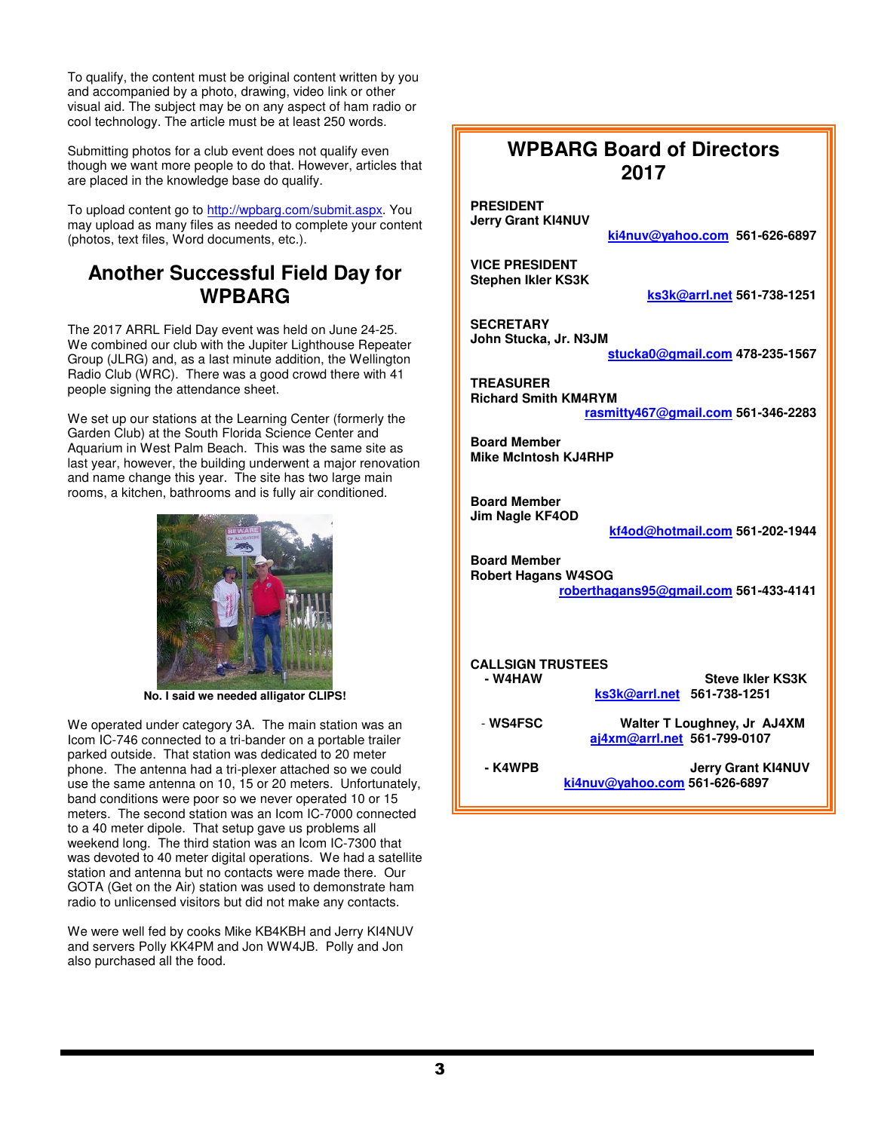To qualify, the content must be original content written by you and accompanied by a photo, drawing, video link or other visual aid. The subject may be on any aspect of ham radio or cool technology. The article must be at least 250 words.

Submitting photos for a club event does not qualify even though we want more people to do that. However, articles that are placed in the knowledge base do qualify.

To upload content go to http://wpbarg.com/submit.aspx. You may upload as many files as needed to complete your content (photos, text files, Word documents, etc.).

### **Another Successful Field Day for WPBARG**

The 2017 ARRL Field Day event was held on June 24-25. We combined our club with the Jupiter Lighthouse Repeater Group (JLRG) and, as a last minute addition, the Wellington Radio Club (WRC). There was a good crowd there with 41 people signing the attendance sheet.

We set up our stations at the Learning Center (formerly the Garden Club) at the South Florida Science Center and Aquarium in West Palm Beach. This was the same site as last year, however, the building underwent a major renovation and name change this year. The site has two large main rooms, a kitchen, bathrooms and is fully air conditioned.



**No. I said we needed alligator CLIPS!** 

We operated under category 3A. The main station was an Icom IC-746 connected to a tri-bander on a portable trailer parked outside. That station was dedicated to 20 meter phone. The antenna had a tri-plexer attached so we could use the same antenna on 10, 15 or 20 meters. Unfortunately, band conditions were poor so we never operated 10 or 15 meters. The second station was an Icom IC-7000 connected to a 40 meter dipole. That setup gave us problems all weekend long. The third station was an Icom IC-7300 that was devoted to 40 meter digital operations. We had a satellite station and antenna but no contacts were made there. Our GOTA (Get on the Air) station was used to demonstrate ham radio to unlicensed visitors but did not make any contacts.

We were well fed by cooks Mike KB4KBH and Jerry KI4NUV and servers Polly KK4PM and Jon WW4JB. Polly and Jon also purchased all the food.

## **WPBARG Board of Directors 2017**

**PRESIDENT Jerry Grant KI4NUV** 

**ki4nuv@yahoo.com 561-626-6897**

**VICE PRESIDENT Stephen Ikler KS3K** 

**ks3k@arrl.net 561-738-1251**

**SECRETARY John Stucka, Jr. N3JM** 

**stucka0@gmail.com 478-235-1567**

**TREASURER Richard Smith KM4RYM rasmitty467@gmail.com 561-346-2283**

**Board Member Mike McIntosh KJ4RHP** 

**Board Member Jim Nagle KF4OD** 

**kf4od@hotmail.com 561-202-1944**

**Board Member Robert Hagans W4SOG roberthagans95@gmail.com 561-433-4141**

# **CALLSIGN TRUSTEES**

- **Steve Ikler KS3K ks3k@arrl.net 561-738-1251**
- **WS4FSC Walter T Loughney, Jr AJ4XM aj4xm@arrl.net 561-799-0107**
- **K4WPB Jerry Grant KI4NUV ki4nuv@yahoo.com 561-626-6897**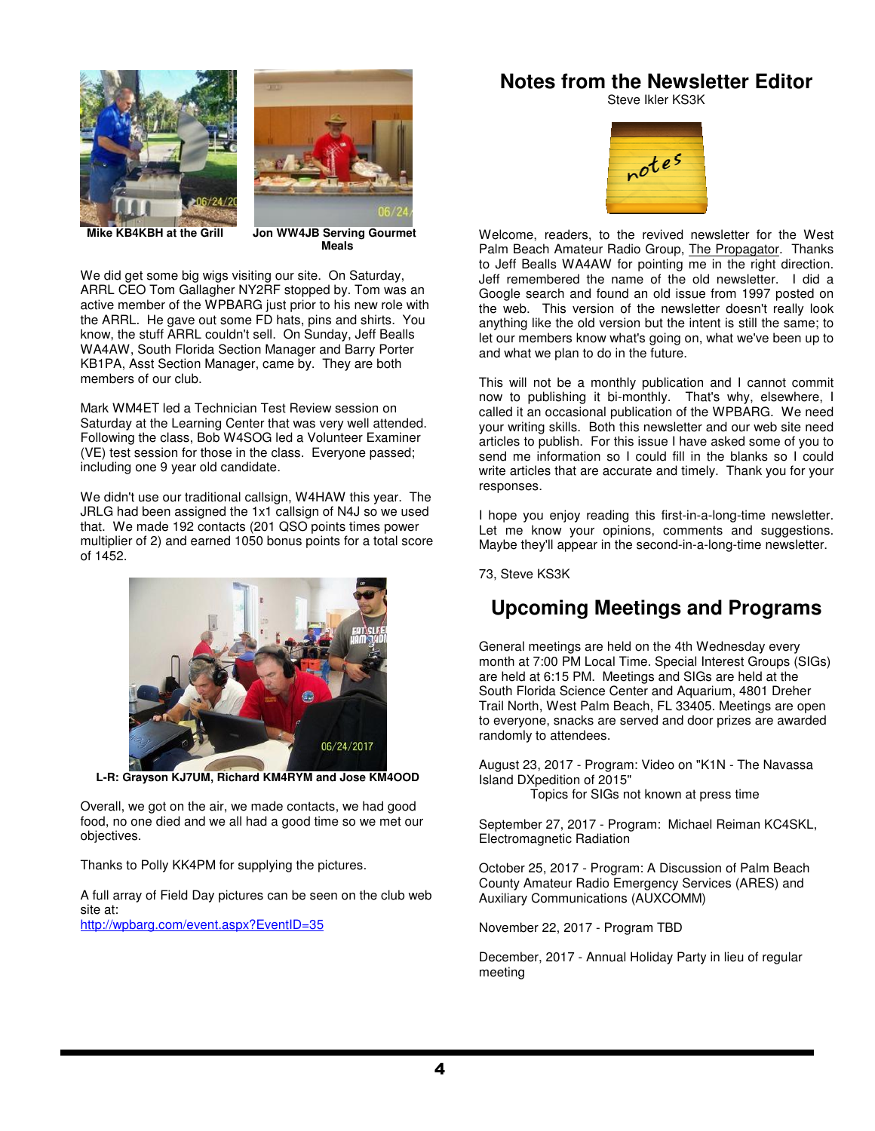



 **Mike KB4KBH at the Grill Jon WW4JB Serving Gourmet** 

*Meals* **Meals** 

We did get some big wigs visiting our site. On Saturday, ARRL CEO Tom Gallagher NY2RF stopped by. Tom was an active member of the WPBARG just prior to his new role with the ARRL. He gave out some FD hats, pins and shirts. You know, the stuff ARRL couldn't sell. On Sunday, Jeff Bealls WA4AW, South Florida Section Manager and Barry Porter KB1PA, Asst Section Manager, came by. They are both members of our club.

Mark WM4ET led a Technician Test Review session on Saturday at the Learning Center that was very well attended. Following the class, Bob W4SOG led a Volunteer Examiner (VE) test session for those in the class. Everyone passed; including one 9 year old candidate.

We didn't use our traditional callsign, W4HAW this year. The JRLG had been assigned the 1x1 callsign of N4J so we used that. We made 192 contacts (201 QSO points times power multiplier of 2) and earned 1050 bonus points for a total score of 1452.



**L-R: Grayson KJ7UM, Richard KM4RYM and Jose KM4OOD** 

Overall, we got on the air, we made contacts, we had good food, no one died and we all had a good time so we met our objectives.

Thanks to Polly KK4PM for supplying the pictures.

A full array of Field Day pictures can be seen on the club web site at:

http://wpbarg.com/event.aspx?EventID=35

### **Notes from the Newsletter Editor**

Steve Ikler KS3K



Welcome, readers, to the revived newsletter for the West Palm Beach Amateur Radio Group, The Propagator. Thanks to Jeff Bealls WA4AW for pointing me in the right direction. Jeff remembered the name of the old newsletter. I did a Google search and found an old issue from 1997 posted on the web. This version of the newsletter doesn't really look anything like the old version but the intent is still the same; to let our members know what's going on, what we've been up to and what we plan to do in the future.

This will not be a monthly publication and I cannot commit now to publishing it bi-monthly. That's why, elsewhere, I called it an occasional publication of the WPBARG. We need your writing skills. Both this newsletter and our web site need articles to publish. For this issue I have asked some of you to send me information so I could fill in the blanks so I could write articles that are accurate and timely. Thank you for your responses.

I hope you enjoy reading this first-in-a-long-time newsletter. Let me know your opinions, comments and suggestions. Maybe they'll appear in the second-in-a-long-time newsletter.

73, Steve KS3K

## **Upcoming Meetings and Programs**

General meetings are held on the 4th Wednesday every month at 7:00 PM Local Time. Special Interest Groups (SIGs) are held at 6:15 PM. Meetings and SIGs are held at the South Florida Science Center and Aquarium, 4801 Dreher Trail North, West Palm Beach, FL 33405. Meetings are open to everyone, snacks are served and door prizes are awarded randomly to attendees.

August 23, 2017 - Program: Video on "K1N - The Navassa Island DXpedition of 2015"

Topics for SIGs not known at press time

September 27, 2017 - Program: Michael Reiman KC4SKL, Electromagnetic Radiation

October 25, 2017 - Program: A Discussion of Palm Beach County Amateur Radio Emergency Services (ARES) and Auxiliary Communications (AUXCOMM)

November 22, 2017 - Program TBD

December, 2017 - Annual Holiday Party in lieu of regular meeting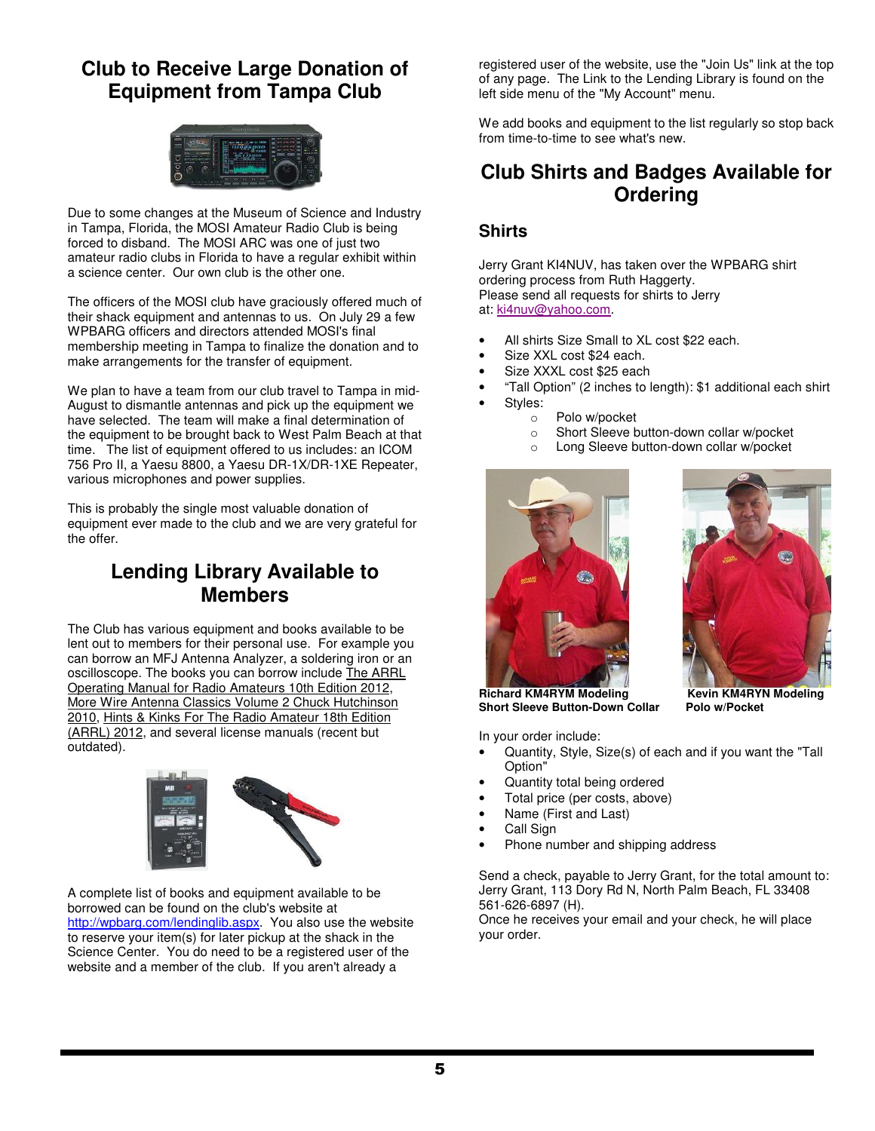## **Club to Receive Large Donation of Equipment from Tampa Club**



Due to some changes at the Museum of Science and Industry in Tampa, Florida, the MOSI Amateur Radio Club is being forced to disband. The MOSI ARC was one of just two amateur radio clubs in Florida to have a regular exhibit within a science center. Our own club is the other one.

The officers of the MOSI club have graciously offered much of their shack equipment and antennas to us. On July 29 a few WPBARG officers and directors attended MOSI's final membership meeting in Tampa to finalize the donation and to make arrangements for the transfer of equipment.

We plan to have a team from our club travel to Tampa in mid-August to dismantle antennas and pick up the equipment we have selected. The team will make a final determination of the equipment to be brought back to West Palm Beach at that time. The list of equipment offered to us includes: an ICOM 756 Pro II, a Yaesu 8800, a Yaesu DR-1X/DR-1XE Repeater, various microphones and power supplies.

This is probably the single most valuable donation of equipment ever made to the club and we are very grateful for the offer.

## **Lending Library Available to Members**

The Club has various equipment and books available to be lent out to members for their personal use. For example you can borrow an MFJ Antenna Analyzer, a soldering iron or an oscilloscope. The books you can borrow include The ARRL Operating Manual for Radio Amateurs 10th Edition 2012, More Wire Antenna Classics Volume 2 Chuck Hutchinson 2010, Hints & Kinks For The Radio Amateur 18th Edition (ARRL) 2012, and several license manuals (recent but outdated).



A complete list of books and equipment available to be borrowed can be found on the club's website at http://wpbarg.com/lendinglib.aspx. You also use the website to reserve your item(s) for later pickup at the shack in the Science Center. You do need to be a registered user of the website and a member of the club. If you aren't already a

registered user of the website, use the "Join Us" link at the top of any page. The Link to the Lending Library is found on the left side menu of the "My Account" menu.

We add books and equipment to the list regularly so stop back from time-to-time to see what's new.

## **Club Shirts and Badges Available for Ordering**

#### **Shirts**

Jerry Grant KI4NUV, has taken over the WPBARG shirt ordering process from Ruth Haggerty. Please send all requests for shirts to Jerry at: ki4nuv@yahoo.com.

- All shirts Size Small to XL cost \$22 each.
- Size XXL cost \$24 each.
- Size XXXL cost \$25 each
- "Tall Option" (2 inches to length): \$1 additional each shirt
- Styles:
	- o Polo w/pocket
	- o Short Sleeve button-down collar w/pocket
	- o Long Sleeve button-down collar w/pocket





**Short Sleeve Button-Down Collar Polo w/Pocket**

In your order include:

- Quantity, Style, Size(s) of each and if you want the "Tall Option"
- Quantity total being ordered
- Total price (per costs, above)
- Name (First and Last)
- Call Sign
- Phone number and shipping address

Send a check, payable to Jerry Grant, for the total amount to: Jerry Grant, 113 Dory Rd N, North Palm Beach, FL 33408 561-626-6897 (H).

Once he receives your email and your check, he will place your order.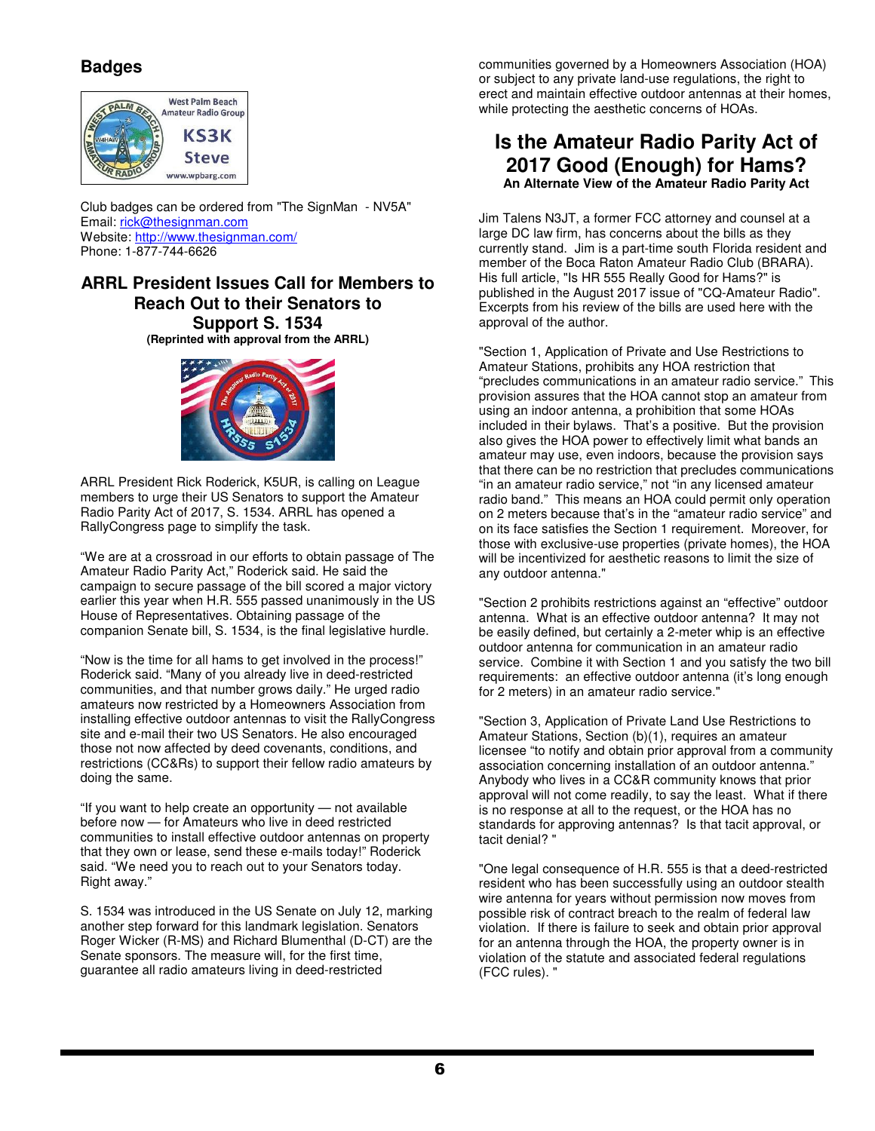#### **Badges**



Club badges can be ordered from "The SignMan - NV5A" Email: rick@thesignman.com Website: http://www.thesignman.com/ Phone: 1-877-744-6626

#### **ARRL President Issues Call for Members to Reach Out to their Senators to Support S. 1534**

**(Reprinted with approval from the ARRL)** 



ARRL President Rick Roderick, K5UR, is calling on League members to urge their US Senators to support the Amateur Radio Parity Act of 2017, S. 1534. ARRL has opened a RallyCongress page to simplify the task.

"We are at a crossroad in our efforts to obtain passage of The Amateur Radio Parity Act," Roderick said. He said the campaign to secure passage of the bill scored a major victory earlier this year when H.R. 555 passed unanimously in the US House of Representatives. Obtaining passage of the companion Senate bill, S. 1534, is the final legislative hurdle.

"Now is the time for all hams to get involved in the process!" Roderick said. "Many of you already live in deed-restricted communities, and that number grows daily." He urged radio amateurs now restricted by a Homeowners Association from installing effective outdoor antennas to visit the RallyCongress site and e-mail their two US Senators. He also encouraged those not now affected by deed covenants, conditions, and restrictions (CC&Rs) to support their fellow radio amateurs by doing the same.

"If you want to help create an opportunity — not available before now — for Amateurs who live in deed restricted communities to install effective outdoor antennas on property that they own or lease, send these e-mails today!" Roderick said. "We need you to reach out to your Senators today. Right away."

S. 1534 was introduced in the US Senate on July 12, marking another step forward for this landmark legislation. Senators Roger Wicker (R-MS) and Richard Blumenthal (D-CT) are the Senate sponsors. The measure will, for the first time, guarantee all radio amateurs living in deed-restricted

communities governed by a Homeowners Association (HOA) or subject to any private land-use regulations, the right to erect and maintain effective outdoor antennas at their homes, while protecting the aesthetic concerns of HOAs.

#### **Is the Amateur Radio Parity Act of 2017 Good (Enough) for Hams? An Alternate View of the Amateur Radio Parity Act**

Jim Talens N3JT, a former FCC attorney and counsel at a large DC law firm, has concerns about the bills as they currently stand. Jim is a part-time south Florida resident and member of the Boca Raton Amateur Radio Club (BRARA). His full article, "Is HR 555 Really Good for Hams?" is published in the August 2017 issue of "CQ-Amateur Radio". Excerpts from his review of the bills are used here with the approval of the author.

"Section 1, Application of Private and Use Restrictions to Amateur Stations, prohibits any HOA restriction that "precludes communications in an amateur radio service." This provision assures that the HOA cannot stop an amateur from using an indoor antenna, a prohibition that some HOAs included in their bylaws. That's a positive. But the provision also gives the HOA power to effectively limit what bands an amateur may use, even indoors, because the provision says that there can be no restriction that precludes communications "in an amateur radio service," not "in any licensed amateur radio band." This means an HOA could permit only operation on 2 meters because that's in the "amateur radio service" and on its face satisfies the Section 1 requirement. Moreover, for those with exclusive-use properties (private homes), the HOA will be incentivized for aesthetic reasons to limit the size of any outdoor antenna."

"Section 2 prohibits restrictions against an "effective" outdoor antenna. What is an effective outdoor antenna? It may not be easily defined, but certainly a 2-meter whip is an effective outdoor antenna for communication in an amateur radio service. Combine it with Section 1 and you satisfy the two bill requirements: an effective outdoor antenna (it's long enough for 2 meters) in an amateur radio service."

"Section 3, Application of Private Land Use Restrictions to Amateur Stations, Section (b)(1), requires an amateur licensee "to notify and obtain prior approval from a community association concerning installation of an outdoor antenna." Anybody who lives in a CC&R community knows that prior approval will not come readily, to say the least. What if there is no response at all to the request, or the HOA has no standards for approving antennas? Is that tacit approval, or tacit denial? "

"One legal consequence of H.R. 555 is that a deed-restricted resident who has been successfully using an outdoor stealth wire antenna for years without permission now moves from possible risk of contract breach to the realm of federal law violation. If there is failure to seek and obtain prior approval for an antenna through the HOA, the property owner is in violation of the statute and associated federal regulations (FCC rules). "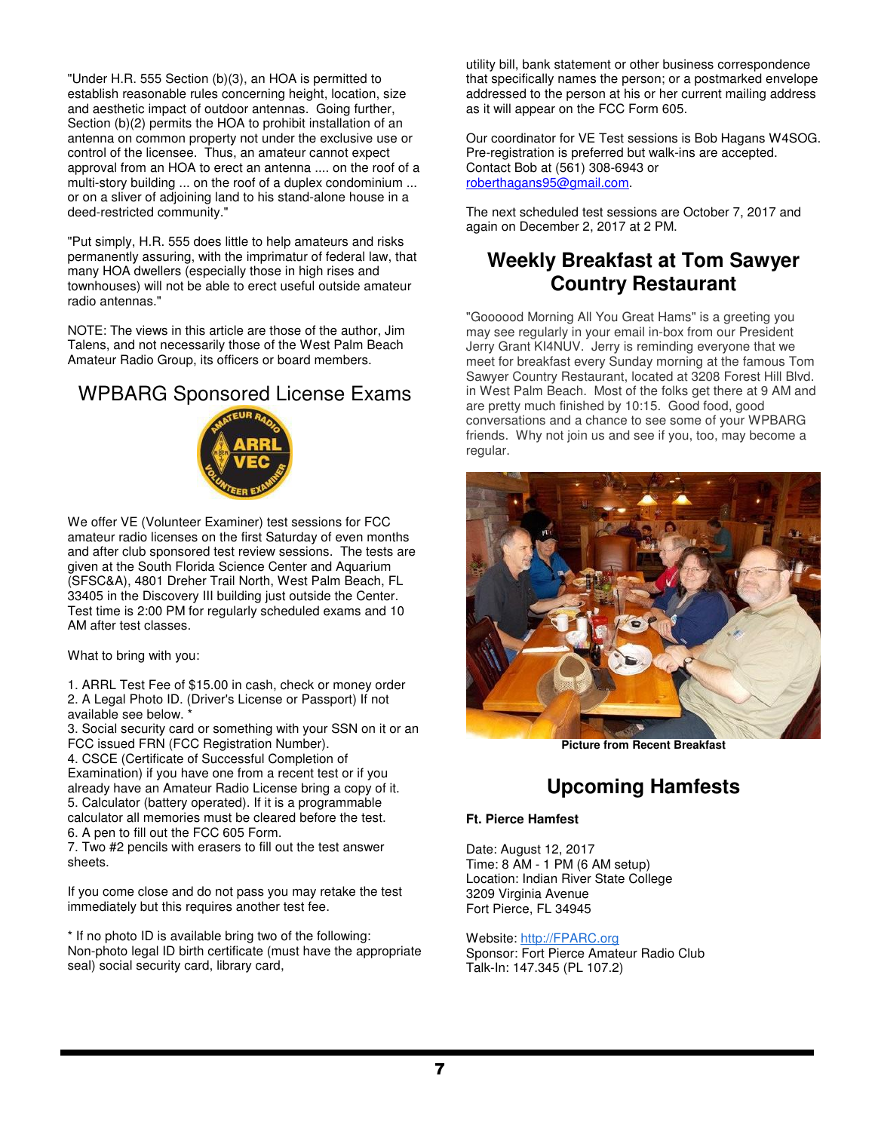"Under H.R. 555 Section (b)(3), an HOA is permitted to establish reasonable rules concerning height, location, size and aesthetic impact of outdoor antennas. Going further, Section (b)(2) permits the HOA to prohibit installation of an antenna on common property not under the exclusive use or control of the licensee. Thus, an amateur cannot expect approval from an HOA to erect an antenna .... on the roof of a multi-story building ... on the roof of a duplex condominium ... or on a sliver of adjoining land to his stand-alone house in a deed-restricted community."

"Put simply, H.R. 555 does little to help amateurs and risks permanently assuring, with the imprimatur of federal law, that many HOA dwellers (especially those in high rises and townhouses) will not be able to erect useful outside amateur radio antennas."

NOTE: The views in this article are those of the author, Jim Talens, and not necessarily those of the West Palm Beach Amateur Radio Group, its officers or board members.

## WPBARG Sponsored License Exams



We offer VE (Volunteer Examiner) test sessions for FCC amateur radio licenses on the first Saturday of even months and after club sponsored test review sessions. The tests are given at the South Florida Science Center and Aquarium (SFSC&A), 4801 Dreher Trail North, West Palm Beach, FL 33405 in the Discovery III building just outside the Center. Test time is 2:00 PM for regularly scheduled exams and 10 AM after test classes.

What to bring with you:

1. ARRL Test Fee of \$15.00 in cash, check or money order 2. A Legal Photo ID. (Driver's License or Passport) If not available see below.

3. Social security card or something with your SSN on it or an FCC issued FRN (FCC Registration Number).

4. CSCE (Certificate of Successful Completion of Examination) if you have one from a recent test or if you already have an Amateur Radio License bring a copy of it. 5. Calculator (battery operated). If it is a programmable calculator all memories must be cleared before the test.

6. A pen to fill out the FCC 605 Form.

7. Two #2 pencils with erasers to fill out the test answer sheets.

If you come close and do not pass you may retake the test immediately but this requires another test fee.

\* If no photo ID is available bring two of the following: Non-photo legal ID birth certificate (must have the appropriate seal) social security card, library card,

utility bill, bank statement or other business correspondence that specifically names the person; or a postmarked envelope addressed to the person at his or her current mailing address as it will appear on the FCC Form 605.

Our coordinator for VE Test sessions is Bob Hagans W4SOG. Pre-registration is preferred but walk-ins are accepted. Contact Bob at (561) 308-6943 or roberthagans95@gmail.com.

The next scheduled test sessions are October 7, 2017 and again on December 2, 2017 at 2 PM.

## **Weekly Breakfast at Tom Sawyer Country Restaurant**

"Goooood Morning All You Great Hams" is a greeting you may see regularly in your email in-box from our President Jerry Grant KI4NUV. Jerry is reminding everyone that we meet for breakfast every Sunday morning at the famous Tom Sawyer Country Restaurant, located at 3208 Forest Hill Blvd. in West Palm Beach. Most of the folks get there at 9 AM and are pretty much finished by 10:15. Good food, good conversations and a chance to see some of your WPBARG friends. Why not join us and see if you, too, may become a regular.



**Picture from Recent Breakfast** 

## **Upcoming Hamfests**

#### **Ft. Pierce Hamfest**

Date: August 12, 2017 Time: 8 AM - 1 PM (6 AM setup) Location: Indian River State College 3209 Virginia Avenue Fort Pierce, FL 34945

#### Website: http://FPARC.org

Sponsor: Fort Pierce Amateur Radio Club Talk-In: 147.345 (PL 107.2)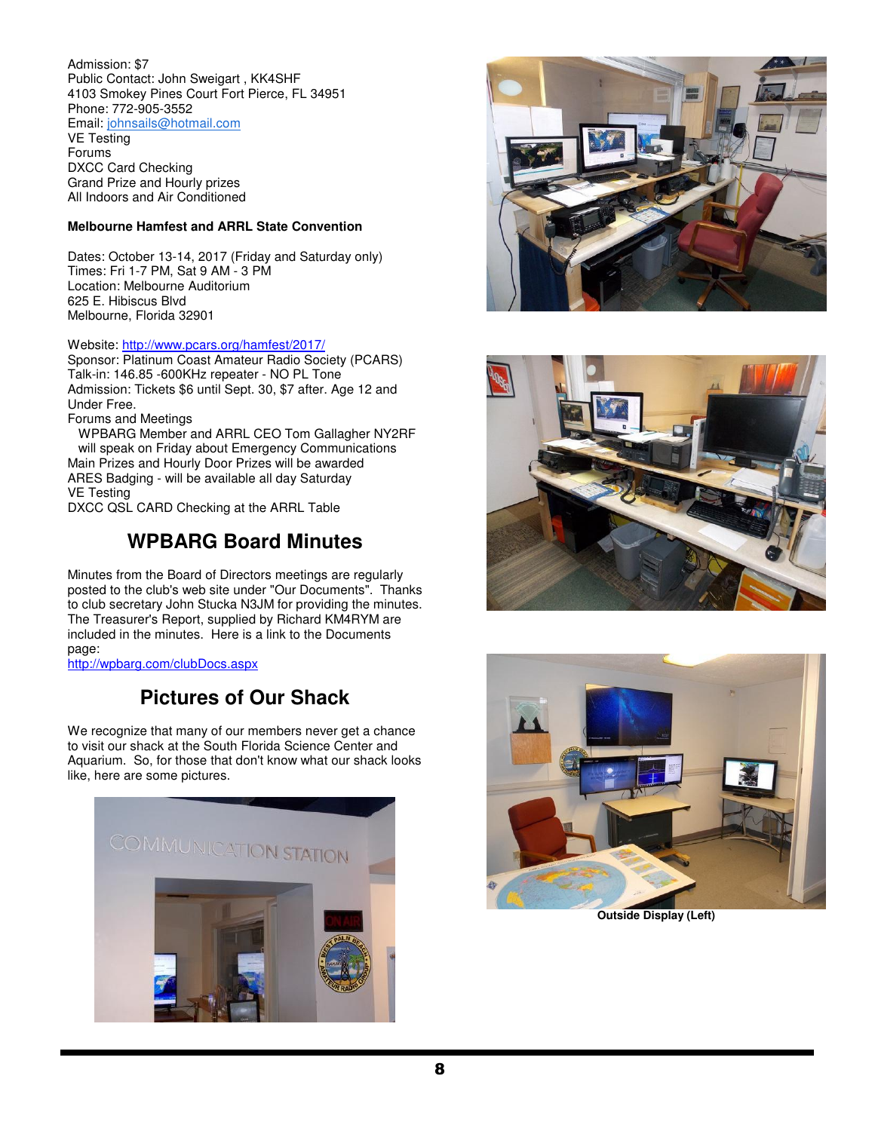Admission: \$7 Public Contact: John Sweigart , KK4SHF 4103 Smokey Pines Court Fort Pierce, FL 34951 Phone: 772-905-3552 Email: johnsails@hotmail.com VE Testing Forums

DXCC Card Checking Grand Prize and Hourly prizes All Indoors and Air Conditioned

#### **Melbourne Hamfest and ARRL State Convention**

Dates: October 13-14, 2017 (Friday and Saturday only) Times: Fri 1-7 PM, Sat 9 AM - 3 PM Location: Melbourne Auditorium 625 E. Hibiscus Blvd Melbourne, Florida 32901

#### Website: http://www.pcars.org/hamfest/2017/

Sponsor: Platinum Coast Amateur Radio Society (PCARS) Talk-in: 146.85 -600KHz repeater - NO PL Tone Admission: Tickets \$6 until Sept. 30, \$7 after. Age 12 and Under Free.

Forums and Meetings

 WPBARG Member and ARRL CEO Tom Gallagher NY2RF will speak on Friday about Emergency Communications Main Prizes and Hourly Door Prizes will be awarded ARES Badging - will be available all day Saturday VE Testing DXCC QSL CARD Checking at the ARRL Table

## **WPBARG Board Minutes**

Minutes from the Board of Directors meetings are regularly posted to the club's web site under "Our Documents". Thanks to club secretary John Stucka N3JM for providing the minutes. The Treasurer's Report, supplied by Richard KM4RYM are included in the minutes. Here is a link to the Documents page:

http://wpbarg.com/clubDocs.aspx

## **Pictures of Our Shack**

We recognize that many of our members never get a chance to visit our shack at the South Florida Science Center and Aquarium. So, for those that don't know what our shack looks like, here are some pictures.









**Outside Display (Left)**